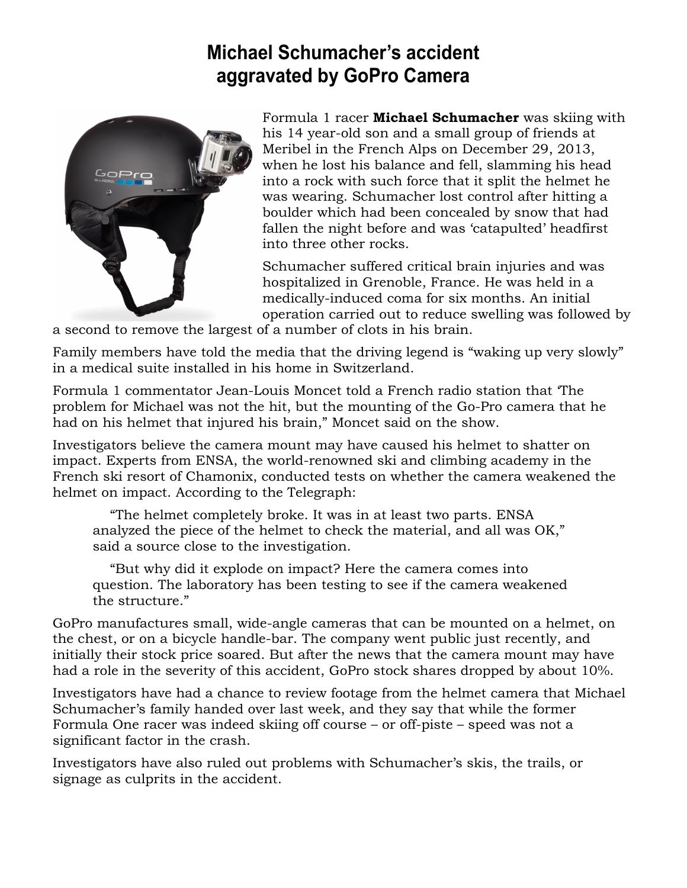## **Michael Schumacher's accident aggravated by GoPro Camera**



Formula 1 racer **Michael Schumacher** was skiing with his 14 year-old son and a small group of friends at Meribel in the French Alps on December 29, 2013, when he lost his balance and fell, slamming his head into a rock with such force that it split the helmet he was wearing. Schumacher lost control after hitting a boulder which had been concealed by snow that had fallen the night before and was 'catapulted' headfirst into three other rocks.

Schumacher suffered critical brain injuries and was hospitalized in Grenoble, France. He was held in a medically-induced coma for six months. An initial operation carried out to reduce swelling was followed by

a second to remove the largest of a number of clots in his brain.

Family members have told the media that the driving legend is "waking up very slowly" in a medical suite installed in his home in Switzerland.

Formula 1 commentator Jean-Louis Moncet told a French radio station that 'The problem for Michael was not the hit, but the mounting of the Go-Pro camera that he had on his helmet that injured his brain," Moncet said on the show.

Investigators believe the camera mount may have caused his helmet to shatter on impact. Experts from ENSA, the world-renowned ski and climbing academy in the French ski resort of Chamonix, conducted tests on whether the camera weakened the helmet on impact. According to the Telegraph:

 "The helmet completely broke. It was in at least two parts. ENSA analyzed the piece of the helmet to check the material, and all was OK," said a source close to the investigation.

 "But why did it explode on impact? Here the camera comes into question. The laboratory has been testing to see if the camera weakened the structure."

GoPro manufactures small, wide-angle cameras that can be mounted on a helmet, on the chest, or on a bicycle handle-bar. The company went public just recently, and initially their stock price soared. But after the news that the camera mount may have had a role in the severity of this accident, GoPro stock shares dropped by about 10%.

Investigators have had a chance to review footage from the helmet camera that Michael Schumacher's family handed over last week, and they say that while the former Formula One racer was indeed skiing off course – or off-piste – speed was not a significant factor in the crash.

Investigators have also ruled out problems with Schumacher's skis, the trails, or signage as culprits in the accident.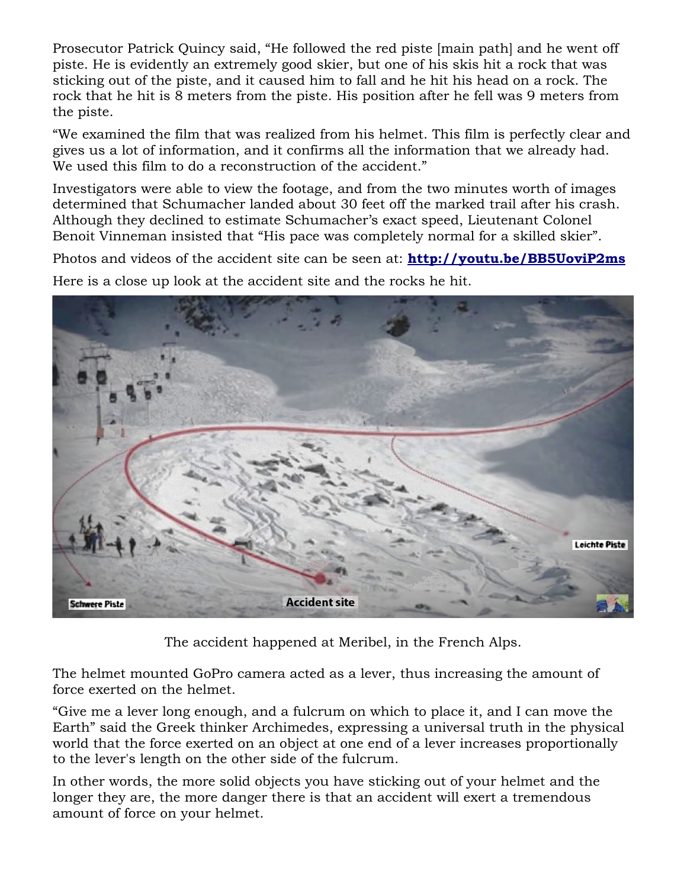Prosecutor Patrick Quincy said, "He followed the red piste [main path] and he went off piste. He is evidently an extremely good skier, but one of his skis hit a rock that was sticking out of the piste, and it caused him to fall and he hit his head on a rock. The rock that he hit is 8 meters from the piste. His position after he fell was 9 meters from the piste.

"We examined the film that was realized from his helmet. This film is perfectly clear and gives us a lot of information, and it confirms all the information that we already had. We used this film to do a reconstruction of the accident."

Investigators were able to view the footage, and from the two minutes worth of images determined that Schumacher landed about 30 feet off the marked trail after his crash. Although they declined to estimate Schumacher's exact speed, Lieutenant Colonel Benoit Vinneman insisted that "His pace was completely normal for a skilled skier".

Photos and videos of the accident site can be seen at: **<http://youtu.be/BB5UoviP2ms>** Here is a close up look at the accident site and the rocks he hit.



The accident happened at Meribel, in the French Alps.

The helmet mounted GoPro camera acted as a lever, thus increasing the amount of force exerted on the helmet.

"Give me a lever long enough, and a fulcrum on which to place it, and I can move the Earth" said the Greek thinker Archimedes, expressing a universal truth in the physical world that the force exerted on an object at one end of a lever increases proportionally to the lever's length on the other side of the fulcrum.

In other words, the more solid objects you have sticking out of your helmet and the longer they are, the more danger there is that an accident will exert a tremendous amount of force on your helmet.